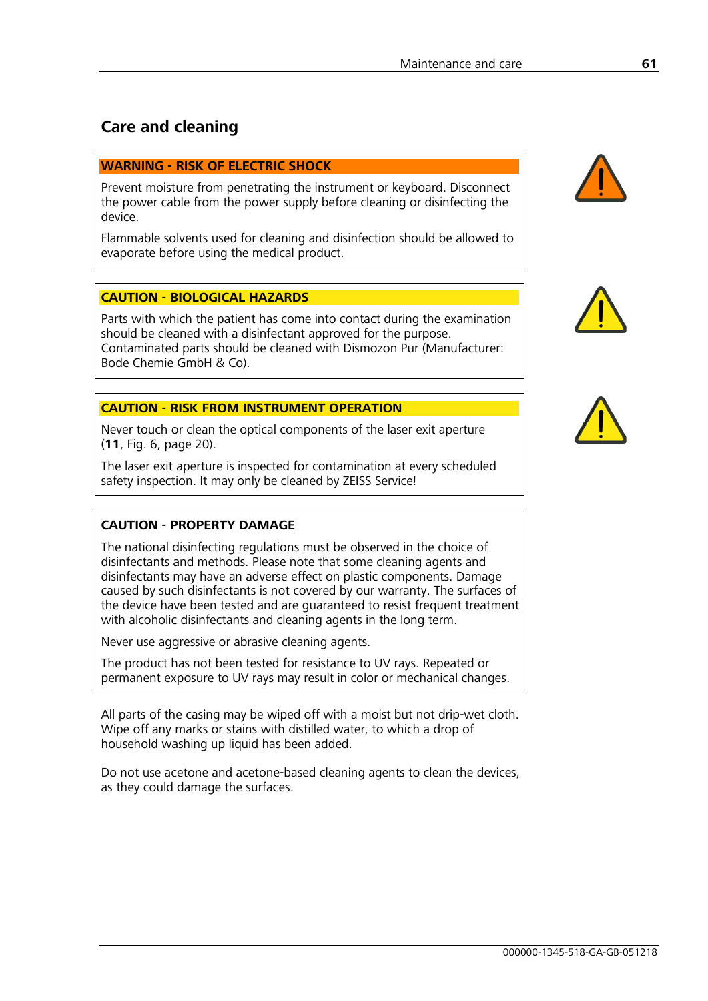# **Care and cleaning**

#### **WARNING - RISK OF ELECTRIC SHOCK**

Prevent moisture from penetrating the instrument or keyboard. Disconnect the power cable from the power supply before cleaning or disinfecting the device.

Flammable solvents used for cleaning and disinfection should be allowed to evaporate before using the medical product.

### **CAUTION - BIOLOGICAL HAZARDS**

Parts with which the patient has come into contact during the examination should be cleaned with a disinfectant approved for the purpose. Contaminated parts should be cleaned with Dismozon Pur (Manufacturer: Bode Chemie GmbH & Co).

#### **CAUTION - RISK FROM INSTRUMENT OPERATION**

Never touch or clean the optical components of the laser exit aperture (**11**, Fig. 6, page 20).

The laser exit aperture is inspected for contamination at every scheduled safety inspection. It may only be cleaned by ZEISS Service!

#### **CAUTION - PROPERTY DAMAGE**

The national disinfecting regulations must be observed in the choice of disinfectants and methods. Please note that some cleaning agents and disinfectants may have an adverse effect on plastic components. Damage caused by such disinfectants is not covered by our warranty. The surfaces of the device have been tested and are guaranteed to resist frequent treatment with alcoholic disinfectants and cleaning agents in the long term.

Never use aggressive or abrasive cleaning agents.

The product has not been tested for resistance to UV rays. Repeated or permanent exposure to UV rays may result in color or mechanical changes.

All parts of the casing may be wiped off with a moist but not drip-wet cloth. Wipe off any marks or stains with distilled water, to which a drop of household washing up liquid has been added.

Do not use acetone and acetone-based cleaning agents to clean the devices, as they could damage the surfaces.